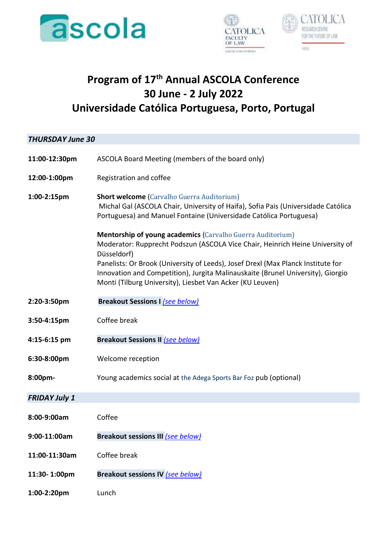





# **Program of 17th Annual ASCOLA Conference 30 June - 2 July 2022 Universidade Católica Portuguesa, Porto, Portugal**

# *THURSDAY June 30*  **11:00-12:30pm** ASCOLA Board Meeting (members of the board only) **12:00-1:00pm** Registration and coffee **1:00-2:15pm Short welcome** (Carvalho Guerra Auditorium) Michal Gal (ASCOLA Chair, University of Haifa), Sofia Pais (Universidade Católica Portuguesa) and Manuel Fontaine (Universidade Católica Portuguesa) **Mentorship of young academics** (Carvalho Guerra Auditorium) Moderator: Rupprecht Podszun (ASCOLA Vice Chair, Heinrich Heine University of Düsseldorf) Panelists: Or Brook (University of Leeds), Josef Drexl (Max Planck Institute for Innovation and Competition), Jurgita Malinauskaite (Brunel University), Giorgio Monti (Tilburg University), Liesbet Van Acker (KU Leuven) **2:20-3:50pm Breakout Sessions I** *[\(see below\)](#page-2-0)* **3:50-4:15pm** Coffee break **4:15-6:15 pm Breakout Sessions II** *[\(see below\)](#page-2-0)* **6:30-8:00pm** Welcome reception **8:00pm-** Young academics social at the Adega Sports Bar Foz pub (optional) *FRIDAY July 1* **8:00-9:00am** Coffee **9:00-11:00am Breakout sessions III** *(see below)* **11:00-11:30am** Coffee break **11:30- 1:00pm Breakout sessions IV** *(see below)* **1:00-2:20pm** Lunch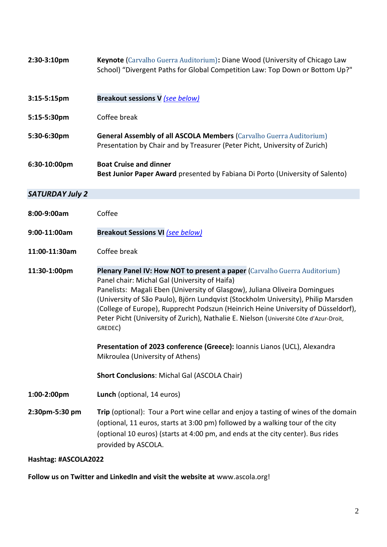| 2:30-3:10pm            | Keynote (Carvalho Guerra Auditorium): Diane Wood (University of Chicago Law<br>School) "Divergent Paths for Global Competition Law: Top Down or Bottom Up?"                                                                                                                                                                                                                                                                                                                                                                                                                                                                                                     |
|------------------------|-----------------------------------------------------------------------------------------------------------------------------------------------------------------------------------------------------------------------------------------------------------------------------------------------------------------------------------------------------------------------------------------------------------------------------------------------------------------------------------------------------------------------------------------------------------------------------------------------------------------------------------------------------------------|
| $3:15-5:15$ pm         | Breakout sessions V (see below)                                                                                                                                                                                                                                                                                                                                                                                                                                                                                                                                                                                                                                 |
| 5:15-5:30pm            | Coffee break                                                                                                                                                                                                                                                                                                                                                                                                                                                                                                                                                                                                                                                    |
| 5:30-6:30pm            | <b>General Assembly of all ASCOLA Members (Carvalho Guerra Auditorium)</b><br>Presentation by Chair and by Treasurer (Peter Picht, University of Zurich)                                                                                                                                                                                                                                                                                                                                                                                                                                                                                                        |
| 6:30-10:00pm           | <b>Boat Cruise and dinner</b><br>Best Junior Paper Award presented by Fabiana Di Porto (University of Salento)                                                                                                                                                                                                                                                                                                                                                                                                                                                                                                                                                  |
| <b>SATURDAY July 2</b> |                                                                                                                                                                                                                                                                                                                                                                                                                                                                                                                                                                                                                                                                 |
| 8:00-9:00am            | Coffee                                                                                                                                                                                                                                                                                                                                                                                                                                                                                                                                                                                                                                                          |
| 9:00-11:00am           | <b>Breakout Sessions VI (see below)</b>                                                                                                                                                                                                                                                                                                                                                                                                                                                                                                                                                                                                                         |
| 11:00-11:30am          | Coffee break                                                                                                                                                                                                                                                                                                                                                                                                                                                                                                                                                                                                                                                    |
| 11:30-1:00pm           | Plenary Panel IV: How NOT to present a paper (Carvalho Guerra Auditorium)<br>Panel chair: Michal Gal (University of Haifa)<br>Panelists: Magali Eben (University of Glasgow), Juliana Oliveira Domingues<br>(University of São Paulo), Björn Lundqvist (Stockholm University), Philip Marsden<br>(College of Europe), Rupprecht Podszun (Heinrich Heine University of Düsseldorf),<br>Peter Picht (University of Zurich), Nathalie E. Nielson (Université Côte d'Azur-Droit,<br>GREDEC)<br>Presentation of 2023 conference (Greece): Ioannis Lianos (UCL), Alexandra<br>Mikroulea (University of Athens)<br><b>Short Conclusions: Michal Gal (ASCOLA Chair)</b> |
| 1:00-2:00pm            | Lunch (optional, 14 euros)                                                                                                                                                                                                                                                                                                                                                                                                                                                                                                                                                                                                                                      |
| 2:30pm-5:30 pm         | Trip (optional): Tour a Port wine cellar and enjoy a tasting of wines of the domain<br>(optional, 11 euros, starts at 3:00 pm) followed by a walking tour of the city<br>(optional 10 euros) (starts at 4:00 pm, and ends at the city center). Bus rides<br>provided by ASCOLA.                                                                                                                                                                                                                                                                                                                                                                                 |

# **Hashtag: #ASCOLA2022**

**Follow us on Twitter and LinkedIn and visit the website at** [www.ascola.org!](http://www.ascola.org/)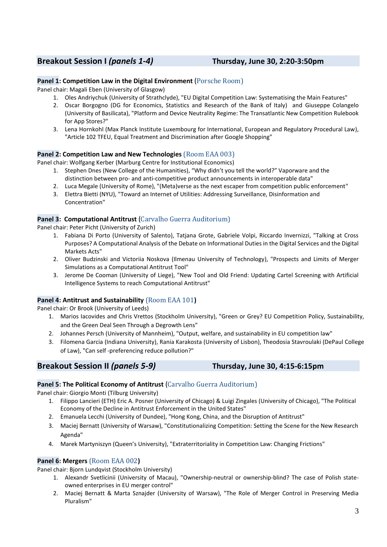# <span id="page-2-0"></span>**Breakout Session I** *(panels 1-4)* **Thursday, June 30, 2:20-3:50pm**

# **Panel 1: Competition Law in the Digital Environment** (Porsche Room)

Panel chair: Magali Eben (University of Glasgow)

- 1. Oles Andriychuk (University of Strathclyde), "EU Digital Competition Law: Systematising the Main Features"
- 2. Oscar Borgogno (DG for Economics, Statistics and Research of the Bank of Italy) and Giuseppe Colangelo (University of Basilicata), "Platform and Device Neutrality Regime: The Transatlantic New Competition Rulebook for App Stores?"
- 3. Lena Hornkohl (Max Planck Institute Luxembourg for International, European and Regulatory Procedural Law), "Article 102 TFEU, Equal Treatment and Discrimination after Google Shopping"

# **Panel 2: Competition Law and New Technologies** (Room EAA 003)

Panel chair: Wolfgang Kerber (Marburg Centre for Institutional Economics)

- 1. Stephen Dnes (New College of the Humanities), "Why didn't you tell the world?" Vaporware and the distinction between pro- and anti-competitive product announcements in interoperable data"
- 2. Luca Megale (University of Rome), "(Meta)verse as the next escaper from competition public enforcement"
- 3. Elettra Bietti (NYU), "Toward an Internet of Utilities: Addressing Surveillance, Disinformation and Concentration"

# **Panel 3: Computational Antitrust** (Carvalho Guerra Auditorium)

Panel chair: Peter Picht (University of Zurich)

- 1. Fabiana Di Porto (University of Salento), Tatjana Grote, Gabriele Volpi, Riccardo Invernizzi, "Talking at Cross Purposes? A Computational Analysis of the Debate on Informational Duties in the Digital Services and the Digital Markets Acts"
- 2. Oliver Budzinski and Victoriia Noskova (Ilmenau University of Technology), "Prospects and Limits of Merger Simulations as a Computational Antitrust Tool"
- 3. Jerome De Cooman (University of Liege), "New Tool and Old Friend: Updating Cartel Screening with Artificial Intelligence Systems to reach Computational Antitrust"

# **Panel 4: Antitrust and Sustainability** (Room EAA 101**)**

Panel chair: Or Brook (University of Leeds)

- 1. Marios Iacovides and Chris Vrettos (Stockholm University), "Green or Grey? EU Competition Policy, Sustainability, and the Green Deal Seen Through a Degrowth Lens"
- 2. Johannes Persch (University of Mannheim), "Output, welfare, and sustainability in EU competition law"
- 3. Filomena Garcia (Indiana University), Rania Karakosta (University of Lisbon), Theodosia Stavroulaki (DePaul College of Law), "Can self -preferencing reduce pollution?"

# **Breakout Session II** *(panels 5-9)* **Thursday, June 30, 4:15-6:15pm**

# Panel 5: The Political Economy of Antitrust (Carvalho Guerra Auditorium)

Panel chair: Giorgio Monti (Tilburg University)

- 1. Filippo Lancieri (ETH) Eric A. Posner (University of Chicago) & Luigi Zingales (University of Chicago), "The Political Economy of the Decline in Antitrust Enforcement in the United States"
- 2. Emanuela Lecchi (University of Dundee), "Hong Kong, China, and the Disruption of Antitrust"
- 3. Maciej Bernatt (University of Warsaw), "Constitutionalizing Competition: Setting the Scene for the New Research Agenda"
- 4. Marek Martyniszyn (Queen's University), "Extraterritoriality in Competition Law: Changing Frictions"

# **Panel 6: Mergers** (Room EAA 002**)**

Panel chair: Bjorn Lundqvist (Stockholm University)

- 1. Alexandr Svetlicinii (University of Macau), "Ownership-neutral or ownership-blind? The case of Polish stateowned enterprises in EU merger control"
- 2. Maciej Bernatt & Marta Sznajder (University of Warsaw), "The Role of Merger Control in Preserving Media Pluralism"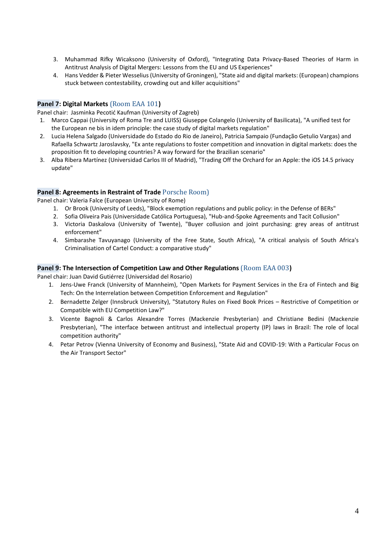- 3. Muhammad Rifky Wicaksono (University of Oxford), "Integrating Data Privacy-Based Theories of Harm in Antitrust Analysis of Digital Mergers: Lessons from the EU and US Experiences"
- 4. Hans Vedder & Pieter Wesselius (University of Groningen), "State aid and digital markets: (European) champions stuck between contestability, crowding out and killer acquisitions"

# **Panel 7: Digital Markets** (Room EAA 101**)**

Panel chair: Jasminka Pecotić Kaufman (University of Zagreb)

- 1. Marco Cappai (University of Roma Tre and LUISS) Giuseppe Colangelo (University of Basilicata), "A unified test for the European ne bis in idem principle: the case study of digital markets regulation"
- 2. Lucia Helena Salgado (Universidade do Estado do Rio de Janeiro), Patricia Sampaio (Fundação Getulio Vargas) and Rafaella Schwartz Jaroslavsky, "Ex ante regulations to foster competition and innovation in digital markets: does the proposition fit to developing countries? A way forward for the Brazilian scenario"
- 3. Alba Ribera Martínez (Universidad Carlos III of Madrid), "Trading Off the Orchard for an Apple: the iOS 14.5 privacy update"

# **Panel 8: Agreements in Restraint of Trade** Porsche Room)

Panel chair: Valeria Falce (European University of Rome)

- 1. Or Brook (University of Leeds), "Block exemption regulations and public policy: in the Defense of BERs"
- 2. Sofia Oliveira Pais (Universidade Católica Portuguesa), "Hub-and-Spoke Agreements and Tacit Collusion"
- 3. Victoria Daskalova (University of Twente), "Buyer collusion and joint purchasing: grey areas of antitrust enforcement"
- 4. Simbarashe Tavuyanago (University of the Free State, South Africa), "A critical analysis of South Africa's Criminalisation of Cartel Conduct: a comparative study"

### **Panel 9: The Intersection of Competition Law and Other Regulations** (Room EAA 003**)**

Panel chair: Juan David Gutiérrez (Universidad del Rosario)

- 1. Jens-Uwe Franck (University of Mannheim), "Open Markets for Payment Services in the Era of Fintech and Big Tech: On the Interrelation between Competition Enforcement and Regulation"
- 2. Bernadette Zelger (Innsbruck University), "Statutory Rules on Fixed Book Prices Restrictive of Competition or Compatible with EU Competition Law?"
- 3. Vicente Bagnoli & Carlos Alexandre Torres (Mackenzie Presbyterian) and Christiane Bedini (Mackenzie Presbyterian), "The interface between antitrust and intellectual property (IP) laws in Brazil: The role of local competition authority"
- 4. Petar Petrov (Vienna University of Economy and Business), "State Aid and COVID-19: With a Particular Focus on the Air Transport Sector"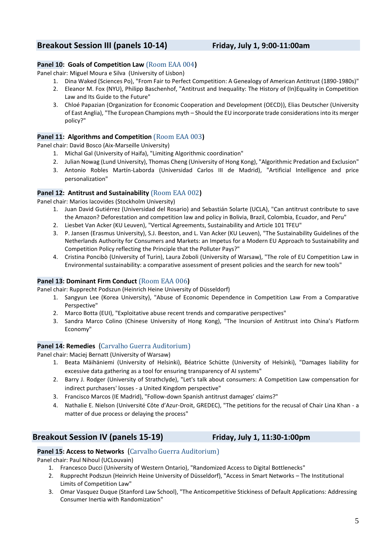# <span id="page-4-0"></span>**Breakout Session III (panels 10-14) Friday, July 1, 9:00-11:00am**

# **Panel 10: Goals of Competition Law** (Room EAA 004**)**

Panel chair: Miguel Moura e Silva (University of Lisbon)

- 1. Dina Waked (Sciences Po), "From Fair to Perfect Competition: A Genealogy of American Antitrust (1890-1980s)"
- 2. Eleanor M. Fox (NYU), Philipp Baschenhof, "Antitrust and Inequality: The History of (In)Equality in Competition Law and Its Guide to the Future"
- 3. Chloé Papazian (Organization for Economic Cooperation and Development (OECD)), Elias Deutscher (University of East Anglia), "The European Champions myth – Should the EU incorporate trade considerations into its merger policy?"

# **Panel 11: Algorithms and Competition** (Room EAA 003**)**

Panel chair: David Bosco (Aix-Marseille University)

- 1. Michal Gal (University of Haifa), "Limiting Algorithmic coordination"
- 2. Julian Nowag (Lund University), Thomas Cheng (University of Hong Kong), "Algorithmic Predation and Exclusion"
- 3. Antonio Robles Martín-Laborda (Universidad Carlos III de Madrid), "Artificial Intelligence and price personalization"

# **Panel 12: Antitrust and Sustainability** (Room EAA 002**)**

Panel chair: Marios Iacovides (Stockholm University)

- 1. Juan David Gutiérrez (Universidad del Rosario) and Sebastián Solarte (UCLA), "Can antitrust contribute to save the Amazon? Deforestation and competition law and policy in Bolivia, Brazil, Colombia, Ecuador, and Peru"
- 2. Liesbet Van Acker (KU Leuven), "Vertical Agreements, Sustainability and Article 101 TFEU"
- 3. P. Jansen (Erasmus University), S.J. Beeston, and L. Van Acker (KU Leuven), "The Sustainability Guidelines of the Netherlands Authority for Consumers and Markets: an Impetus for a Modern EU Approach to Sustainability and Competition Policy reflecting the Principle that the Polluter Pays?"
- 4. Cristina Poncibò (University of Turin), Laura Zoboli (University of Warsaw), "The role of EU Competition Law in Environmental sustainability: a comparative assessment of present policies and the search for new tools"

# **Panel 13: Dominant Firm Conduct** (Room EAA 006**)**

Panel chair: Rupprecht Podszun (Heinrich Heine University of Düsseldorf)

- 1. Sangyun Lee (Korea University), "Abuse of Economic Dependence in Competition Law From a Comparative Perspective"
- 2. Marco Botta (EUI), "Exploitative abuse recent trends and comparative perspectives"
- 3. Sandra Marco Colino (Chinese University of Hong Kong), "The Incursion of Antitrust into China's Platform Economy"

# **Panel 14: Remedies** (Carvalho Guerra Auditorium)

Panel chair: Maciej Bernatt (University of Warsaw)

- 1. Beata Mäihäniemi (University of Helsinki), Béatrice Schütte (University of Helsinki), "Damages liability for excessive data gathering as a tool for ensuring transparency of AI systems"
- 2. Barry J. Rodger (University of Strathclyde), "Let's talk about consumers: A Competition Law compensation for indirect purchasers' losses - a United Kingdom perspective"
- 3. Francisco Marcos (IE Madrid), "Follow-down Spanish antitrust damages' claims?"
- 4. Nathalie E. Nielson (Université Côte d'Azur-Droit, GREDEC), "The petitions for the recusal of Chair Lina Khan a matter of due process or delaying the process"

# **Breakout Session IV (panels 15-19) Friday, July 1, 11:30-1:00pm**

# **Panel 15: Access to Networks** (Carvalho Guerra Auditorium)

Panel chair: Paul Nihoul (UCLouvain)

- 1. Francesco Ducci (University of Western Ontario), "Randomized Access to Digital Bottlenecks"
- 2. Rupprecht Podszun (Heinrich Heine University of Düsseldorf), "Access in Smart Networks The Institutional Limits of Competition Law"
- 3. Omar Vasquez Duque (Stanford Law School), "The Anticompetitive Stickiness of Default Applications: Addressing Consumer Inertia with Randomization"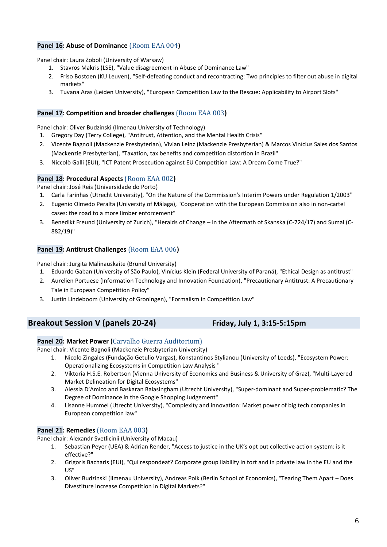# **Panel 16: Abuse of Dominance** (Room EAA 004**)**

Panel chair: Laura Zoboli (University of Warsaw)

- 1. Stavros Makris (LSE), "Value disagreement in Abuse of Dominance Law"
- 2. Friso Bostoen (KU Leuven), "Self-defeating conduct and recontracting: Two principles to filter out abuse in digital markets"
- 3. Tuvana Aras (Leiden University), "European Competition Law to the Rescue: Applicability to Airport Slots"

# **Panel 17: Competition and broader challenges** (Room EAA 003**)**

Panel chair: Oliver Budzinski (Ilmenau University of Technology)

- 1. Gregory Day (Terry College), "Antitrust, Attention, and the Mental Health Crisis"
- 2. Vicente Bagnoli (Mackenzie Presbyterian), Vivian Leinz (Mackenzie Presbyterian) & Marcos Vinícius Sales dos Santos (Mackenzie Presbyterian), "Taxation, tax benefits and competition distortion in Brazil"
- 3. Niccolò Galli (EUI), "ICT Patent Prosecution against EU Competition Law: A Dream Come True?"

# **Panel 18: Procedural Aspects** (Room EAA 002**)**

Panel chair: José Reis (Universidade do Porto)

- 1. Carla Farinhas (Utrecht University), "On the Nature of the Commission's Interim Powers under Regulation 1/2003"
- 2. Eugenio Olmedo Peralta (University of Málaga), "Cooperation with the European Commission also in non-cartel cases: the road to a more limber enforcement"
- 3. Benedikt Freund (University of Zurich), "Heralds of Change In the Aftermath of Skanska (C-724/17) and Sumal (C-882/19)"

# **Panel 19: Antitrust Challenges** (Room EAA 006**)**

Panel chair: Jurgita Malinauskaite (Brunel University)

- 1. Eduardo Gaban (University of São Paulo), Vinícius Klein (Federal University of Paraná), "Ethical Design as antitrust"
- 2. Aurelien Portuese (Information Technology and Innovation Foundation), "Precautionary Antitrust: A Precautionary Tale in European Competition Policy"
- 3. Justin Lindeboom (University of Groningen), "Formalism in Competition Law"

# **Breakout Session V (panels 20-24) Friday, July 1, 3:15-5:15pm**

# **Panel 20: Market Power** (Carvalho Guerra Auditorium)

Panel chair: Vicente Bagnoli (Mackenzie Presbyterian University)

- 1. Nicolo Zingales (Fundação Getulio Vargas), Konstantinos Stylianou (University of Leeds), "Ecosystem Power: Operationalizing Ecosystems in Competition Law Analysis "
- 2. Viktoria H.S.E. Robertson (Vienna University of Economics and Business & University of Graz), "Multi-Layered Market Delineation for Digital Ecosystems"
- 3. Alessia D'Amico and Baskaran Balasingham (Utrecht University), "Super-dominant and Super-problematic? The Degree of Dominance in the Google Shopping Judgement"
- 4. Lisanne Hummel (Utrecht University), "Complexity and innovation: Market power of big tech companies in European competition law"

# **Panel 21: Remedies** (Room EAA 003**)**

Panel chair: Alexandr Svetlicinii (University of Macau)

- 1. Sebastian Peyer (UEA) & Adrian Render, "Access to justice in the UK's opt out collective action system: is it effective?"
- 2. Grigoris Bacharis (EUI), "Qui respondeat? Corporate group liability in tort and in private law in the EU and the US"
- 3. Oliver Budzinski (Ilmenau University), Andreas Polk (Berlin School of Economics), "Tearing Them Apart Does Divestiture Increase Competition in Digital Markets?"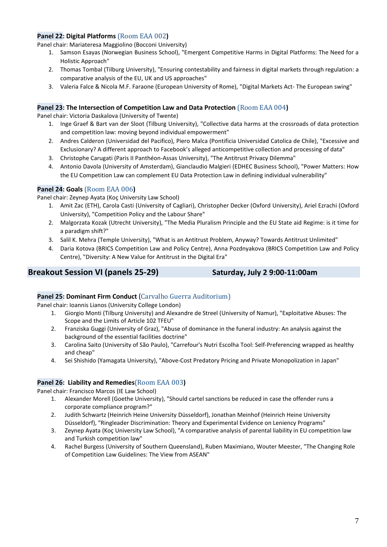# **Panel 22: Digital Platforms** (Room EAA 002**)**

Panel chair: Mariateresa Maggiolino (Bocconi University)

- 1. Samson Esayas (Norwegian Business School), "Emergent Competitive Harms in Digital Platforms: The Need for a Holistic Approach"
- 2. Thomas Tombal (Tilburg University), "Ensuring contestability and fairness in digital markets through regulation: a comparative analysis of the EU, UK and US approaches"
- 3. Valeria Falce & Nicola M.F. Faraone (European University of Rome), "Digital Markets Act- The European swing"

# **Panel 23: The Intersection of Competition Law and Data Protection** (Room EAA 004**)**

Panel chair: Victoria Daskalova (University of Twente)

- 1. Inge Graef & Bart van der Sloot (Tilburg University), "Collective data harms at the crossroads of data protection and competition law: moving beyond individual empowerment"
- 2. Andres Calderon (Universidad del Pacifico), Piero Malca (Pontificia Universidad Catolica de Chile), "Excessive and Exclusionary? A different approach to Facebook's alleged anticompetitive collection and processing of data"
- 3. Christophe Carugati (Paris II Panthéon-Assas University), "The Antitrust Privacy Dilemma"
- 4. Antonio Davola (University of Amsterdam), Gianclaudio Malgieri (EDHEC Business School), "Power Matters: How the EU Competition Law can complement EU Data Protection Law in defining individual vulnerability"

# **Panel 24: Goals** (Room EAA 006**)**

Panel chair: Zeynep Ayata (Koç University Law School)

- 1. Amit Zac (ETH), Carola Casti (University of Cagliari), Christopher Decker (Oxford University), Ariel Ezrachi (Oxford University), "Competition Policy and the Labour Share"
- 2. Malgorzata Kozak (Utrecht University), "The Media Pluralism Principle and the EU State aid Regime: is it time for a paradigm shift?"
- 3. Salil K. Mehra (Temple University), "What is an Antitrust Problem, Anyway? Towards Antitrust Unlimited"
- 4. Daria Kotova (BRICS Competition Law and Policy Centre), Anna Pozdnyakova (BRICS Competition Law and Policy Centre), "Diversity: A New Value for Antitrust in the Digital Era"

# **Breakout Session VI (panels 25-29) Saturday, July 2 9:00-11:00am**

# **Panel 25: Dominant Firm Conduct (Carvalho Guerra Auditorium)**

Panel chair: Ioannis Lianos (University College London)

- 1. Giorgio Monti (Tilburg University) and Alexandre de Streel (University of Namur), "Exploitative Abuses: The Scope and the Limits of Article 102 TFEU"
- 2. Franziska Guggi (University of Graz), "Abuse of dominance in the funeral industry: An analysis against the background of the essential facilities doctrine"
- 3. Carolina Saito (University of São Paulo), "Carrefour's Nutri Escolha Tool: Self-Preferencing wrapped as healthy and cheap"
- 4. Sei Shishido (Yamagata University), "Above‐Cost Predatory Pricing and Private Monopolization in Japan"

# **Panel 26: Liability and Remedies**(Room EAA 003**)**

Panel chair: Francisco Marcos (IE Law School)

- 1. Alexander Morell (Goethe University), "Should cartel sanctions be reduced in case the offender runs a corporate compliance program?"
- 2. Judith Schwartz (Heinrich Heine University Düsseldorf), Jonathan Meinhof (Heinrich Heine University Düsseldorf), "Ringleader Discrimination: Theory and Experimental Evidence on Leniency Programs"
- 3. Zeynep Ayata (Koç University Law School), "A comparative analysis of parental liability in EU competition law and Turkish competition law"
- 4. Rachel Burgess (University of Southern Queensland), Ruben Maximiano, Wouter Meester, "The Changing Role of Competition Law Guidelines: The View from ASEAN"